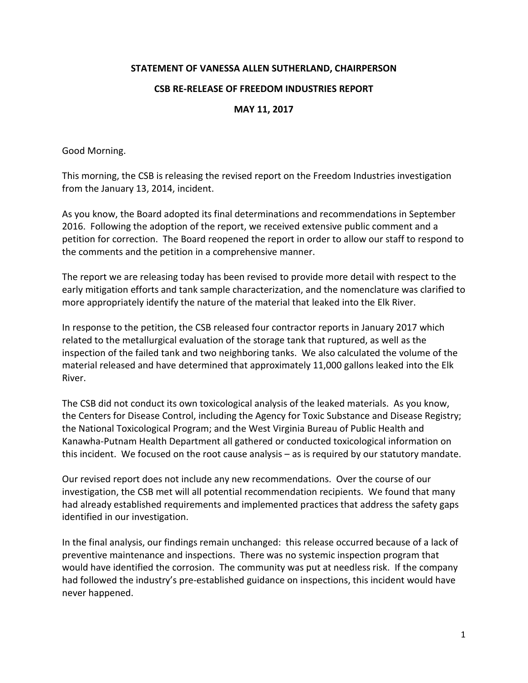## **STATEMENT OF VANESSA ALLEN SUTHERLAND, CHAIRPERSON**

## **CSB RE-RELEASE OF FREEDOM INDUSTRIES REPORT**

## **MAY 11, 2017**

Good Morning.

This morning, the CSB is releasing the revised report on the Freedom Industries investigation from the January 13, 2014, incident.

As you know, the Board adopted its final determinations and recommendations in September 2016. Following the adoption of the report, we received extensive public comment and a petition for correction. The Board reopened the report in order to allow our staff to respond to the comments and the petition in a comprehensive manner.

The report we are releasing today has been revised to provide more detail with respect to the early mitigation efforts and tank sample characterization, and the nomenclature was clarified to more appropriately identify the nature of the material that leaked into the Elk River.

In response to the petition, the CSB released four contractor reports in January 2017 which related to the metallurgical evaluation of the storage tank that ruptured, as well as the inspection of the failed tank and two neighboring tanks. We also calculated the volume of the material released and have determined that approximately 11,000 gallons leaked into the Elk River.

The CSB did not conduct its own toxicological analysis of the leaked materials. As you know, the Centers for Disease Control, including the Agency for Toxic Substance and Disease Registry; the National Toxicological Program; and the West Virginia Bureau of Public Health and Kanawha-Putnam Health Department all gathered or conducted toxicological information on this incident. We focused on the root cause analysis – as is required by our statutory mandate.

Our revised report does not include any new recommendations. Over the course of our investigation, the CSB met will all potential recommendation recipients. We found that many had already established requirements and implemented practices that address the safety gaps identified in our investigation.

In the final analysis, our findings remain unchanged: this release occurred because of a lack of preventive maintenance and inspections. There was no systemic inspection program that would have identified the corrosion. The community was put at needless risk. If the company had followed the industry's pre-established guidance on inspections, this incident would have never happened.